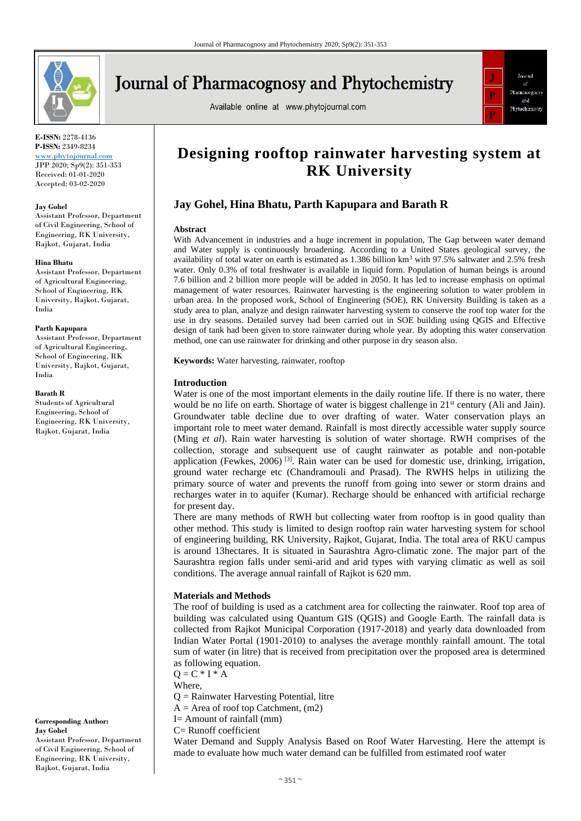

# **Journal of Pharmacognosy and Phytochemistry**

Available online at www.phytojournal.com



**E-ISSN:** 2278-4136 **P-ISSN:** 2349-8234

<www.phytojournal.com> JPP 2020; Sp9(2): 351-353 Received: 01-01-2020 Accepted: 03-02-2020

## **Jay Gohel**

Assistant Professor, Department of Civil Engineering, School of Engineering, RK University, Rajkot, Gujarat, India

#### **Hina Bhatu**

Assistant Professor, Department of Agricultural Engineering, School of Engineering, RK University, Rajkot, Gujarat, India

#### **Parth Kapupara**

Assistant Professor, Department of Agricultural Engineering, School of Engineering, RK University, Rajkot, Gujarat, India

#### **Barath R**

Students of Agricultural Engineering, School of Engineering, RK University, Rajkot, Gujarat, India

**Corresponding Author: Jay Gohel** Assistant Professor, Department of Civil Engineering, School of Engineering, RK University, Rajkot, Gujarat, India

## **Designing rooftop rainwater harvesting system at RK University**

## **Jay Gohel, Hina Bhatu, Parth Kapupara and Barath R**

## **Abstract**

With Advancement in industries and a huge increment in population, The Gap between water demand and Water supply is continuously broadening. According to a United States geological survey, the availability of total water on earth is estimated as 1.386 billion km<sup>3</sup> with 97.5% saltwater and 2.5% fresh water. Only 0.3% of total freshwater is available in liquid form. Population of human beings is around 7.6 billion and 2 billion more people will be added in 2050. It has led to increase emphasis on optimal management of water resources. Rainwater harvesting is the engineering solution to water problem in urban area. In the proposed work, School of Engineering (SOE), RK University Building is taken as a study area to plan, analyze and design rainwater harvesting system to conserve the roof top water for the use in dry seasons. Detailed survey had been carried out in SOE building using QGIS and Effective design of tank had been given to store rainwater during whole year. By adopting this water conservation method, one can use rainwater for drinking and other purpose in dry season also.

**Keywords:** Water harvesting, rainwater, rooftop

## **Introduction**

Water is one of the most important elements in the daily routine life. If there is no water, there would be no life on earth. Shortage of water is biggest challenge in 21<sup>st</sup> century (Ali and Jain). Groundwater table decline due to over drafting of water. Water conservation plays an important role to meet water demand. Rainfall is most directly accessible water supply source (Ming *et al*). Rain water harvesting is solution of water shortage. RWH comprises of the collection, storage and subsequent use of caught rainwater as potable and non-potable application (Fewkes,  $2006$ )<sup>[3]</sup>. Rain water can be used for domestic use, drinking, irrigation, ground water recharge etc (Chandramouli and Prasad). The RWHS helps in utilizing the primary source of water and prevents the runoff from going into sewer or storm drains and recharges water in to aquifer (Kumar). Recharge should be enhanced with artificial recharge for present day.

There are many methods of RWH but collecting water from rooftop is in good quality than other method. This study is limited to design rooftop rain water harvesting system for school of engineering building, RK University, Rajkot, Gujarat, India. The total area of RKU campus is around 13hectares. It is situated in Saurashtra Agro-climatic zone. The major part of the Saurashtra region falls under semi-arid and arid types with varying climatic as well as soil conditions. The average annual rainfall of Rajkot is 620 mm.

## **Materials and Methods**

The roof of building is used as a catchment area for collecting the rainwater. Roof top area of building was calculated using Quantum GIS (QGIS) and Google Earth. The rainfall data is collected from Rajkot Municipal Corporation (1917-2018) and yearly data downloaded from Indian Water Portal (1901-2010) to analyses the average monthly rainfall amount. The total sum of water (in litre) that is received from precipitation over the proposed area is determined as following equation.

 $Q = C * I * A$ 

Where,

Q = Rainwater Harvesting Potential, litre

- $A =$  Area of roof top Catchment,  $(m2)$
- I= Amount of rainfall (mm)
- C= Runoff coefficient

Water Demand and Supply Analysis Based on Roof Water Harvesting. Here the attempt is made to evaluate how much water demand can be fulfilled from estimated roof water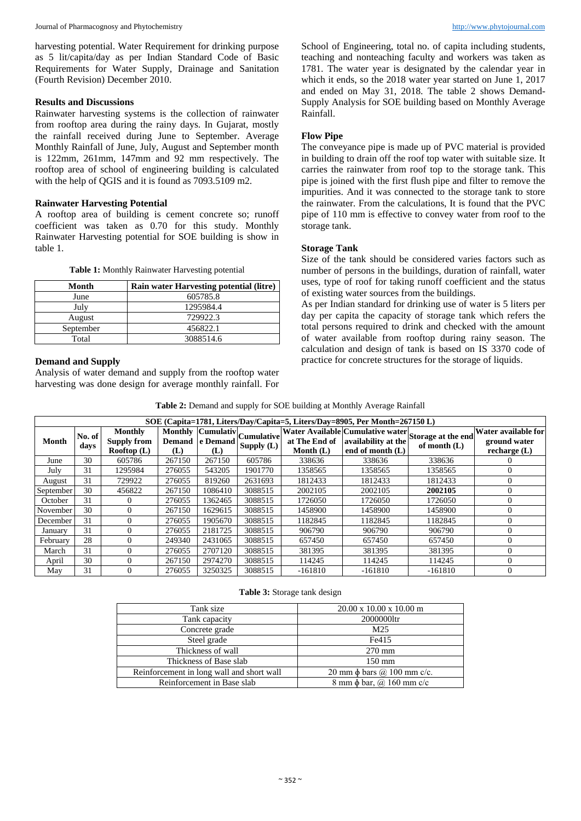harvesting potential. Water Requirement for drinking purpose as 5 lit/capita/day as per Indian Standard Code of Basic Requirements for Water Supply, Drainage and Sanitation (Fourth Revision) December 2010.

## **Results and Discussions**

Rainwater harvesting systems is the collection of rainwater from rooftop area during the rainy days. In Gujarat, mostly the rainfall received during June to September. Average Monthly Rainfall of June, July, August and September month is 122mm, 261mm, 147mm and 92 mm respectively. The rooftop area of school of engineering building is calculated with the help of QGIS and it is found as 7093.5109 m2.

## **Rainwater Harvesting Potential**

A rooftop area of building is cement concrete so; runoff coefficient was taken as 0.70 for this study. Monthly Rainwater Harvesting potential for SOE building is show in table 1.

| Table 1: Monthly Rainwater Harvesting potential |
|-------------------------------------------------|
|-------------------------------------------------|

| Month     | Rain water Harvesting potential (litre) |
|-----------|-----------------------------------------|
| June      | 605785.8                                |
| July      | 1295984.4                               |
| August    | 729922.3                                |
| September | 456822.1                                |
| Total     | 3088514.6                               |

## **Demand and Supply**

Analysis of water demand and supply from the rooftop water harvesting was done design for average monthly rainfall. For School of Engineering, total no. of capita including students, teaching and nonteaching faculty and workers was taken as 1781. The water year is designated by the calendar year in which it ends, so the 2018 water year started on June 1, 2017 and ended on May 31, 2018. The table 2 shows Demand-Supply Analysis for SOE building based on Monthly Average Rainfall.

## **Flow Pipe**

The conveyance pipe is made up of PVC material is provided in building to drain off the roof top water with suitable size. It carries the rainwater from roof top to the storage tank. This pipe is joined with the first flush pipe and filter to remove the impurities. And it was connected to the storage tank to store the rainwater. From the calculations, It is found that the PVC pipe of 110 mm is effective to convey water from roof to the storage tank.

## **Storage Tank**

Size of the tank should be considered varies factors such as number of persons in the buildings, duration of rainfall, water uses, type of roof for taking runoff coefficient and the status of existing water sources from the buildings.

As per Indian standard for drinking use of water is 5 liters per day per capita the capacity of storage tank which refers the total persons required to drink and checked with the amount of water available from rooftop during rainy season. The calculation and design of tank is based on IS 3370 code of practice for concrete structures for the storage of liquids.

| Table 2: Demand and supply for SOE building at Monthly Average Rainfall |  |  |  |
|-------------------------------------------------------------------------|--|--|--|
|-------------------------------------------------------------------------|--|--|--|

| SOE (Capita=1781, Liters/Day/Capita=5, Liters/Day=8905, Per Month=267150 L) |                |                                              |                      |                 |                                            |                              |                                                                                                                 |                |                                                       |
|-----------------------------------------------------------------------------|----------------|----------------------------------------------|----------------------|-----------------|--------------------------------------------|------------------------------|-----------------------------------------------------------------------------------------------------------------|----------------|-------------------------------------------------------|
| Month                                                                       | No. of<br>days | Monthly<br><b>Supply from</b><br>Rooftop (L) | <b>Demand</b><br>(L) | e Demand<br>(L) | Monthly Cumulativ Cumulative<br>Supply (L) | at The End of<br>Month $(L)$ | $\overline{N}$ Water Available Cumulative water Storage at the end<br>availability at the<br>end of month $(L)$ | of month $(L)$ | Water available for<br>ground water<br>recharge $(L)$ |
| June                                                                        | 30             | 605786                                       | 267150               | 267150          | 605786                                     | 338636                       | 338636                                                                                                          | 338636         |                                                       |
| July                                                                        | 31             | 1295984                                      | 276055               | 543205          | 1901770                                    | 1358565                      | 1358565                                                                                                         | 1358565        | $\Omega$                                              |
| August                                                                      | 31             | 729922                                       | 276055               | 819260          | 2631693                                    | 1812433                      | 1812433                                                                                                         | 1812433        | $\Omega$                                              |
| September                                                                   | 30             | 456822                                       | 267150               | 1086410         | 3088515                                    | 2002105                      | 2002105                                                                                                         | 2002105        | $\theta$                                              |
| October                                                                     | 31             | 0                                            | 276055               | 1362465         | 3088515                                    | 1726050                      | 1726050                                                                                                         | 1726050        | $\theta$                                              |
| November                                                                    | 30             | $\Omega$                                     | 267150               | 1629615         | 3088515                                    | 1458900                      | 1458900                                                                                                         | 1458900        | $\Omega$                                              |
| December                                                                    | 31             |                                              | 276055               | 1905670         | 3088515                                    | 1182845                      | 1182845                                                                                                         | 1182845        | 0                                                     |
| January                                                                     | 31             | 0                                            | 276055               | 2181725         | 3088515                                    | 906790                       | 906790                                                                                                          | 906790         | $\Omega$                                              |
| February                                                                    | 28             | 0                                            | 249340               | 2431065         | 3088515                                    | 657450                       | 657450                                                                                                          | 657450         | $\Omega$                                              |
| March                                                                       | 31             |                                              | 276055               | 2707120         | 3088515                                    | 381395                       | 381395                                                                                                          | 381395         | $\theta$                                              |
| April                                                                       | 30             | 0                                            | 267150               | 2974270         | 3088515                                    | 114245                       | 114245                                                                                                          | 114245         | $\theta$                                              |
| May                                                                         | 31             | 0                                            | 276055               | 3250325         | 3088515                                    | $-161810$                    | $-161810$                                                                                                       | $-161810$      | $\Omega$                                              |

**Table 3:** Storage tank design

| Tank size                                 | $20.00 \times 10.00 \times 10.00 \text{ m}$ |
|-------------------------------------------|---------------------------------------------|
| Tank capacity                             | 20000001tr                                  |
| Concrete grade                            | M25                                         |
| Steel grade                               | Fe415                                       |
| Thickness of wall                         | $270 \text{ mm}$                            |
| Thickness of Base slab                    | $150 \text{ mm}$                            |
| Reinforcement in long wall and short wall | 20 mm φ bars $\omega$ 100 mm c/c.           |
| Reinforcement in Base slab                | 8 mm φ bar, @ 160 mm c/c                    |